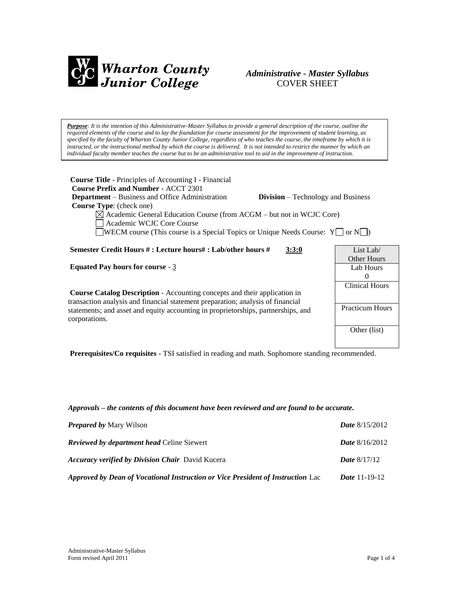

# *Administrative - Master Syllabus*  COVER SHEET

*Purpose: It is the intention of this Administrative-Master Syllabus to provide a general description of the course, outline the required elements of the course and to lay the foundation for course assessment for the improvement of student learning, as specified by the faculty of Wharton County Junior College, regardless of who teaches the course, the timeframe by which it is instructed, or the instructional method by which the course is delivered. It is not intended to restrict the manner by which an individual faculty member teaches the course but to be an administrative tool to aid in the improvement of instruction.*

| <b>Course Title</b> - Principles of Accounting I - Financial<br><b>Course Prefix and Number - ACCT 2301</b><br><b>Department</b> – Business and Office Administration<br><b>Division</b> – Technology and Business<br><b>Course Type:</b> (check one)<br>$\boxtimes$ Academic General Education Course (from ACGM – but not in WCJC Core)<br>Academic WCJC Core Course<br>WECM course (This course is a Special Topics or Unique Needs Course: $Y \cup \{or\} N \cup \emptyset$ ) |                        |
|-----------------------------------------------------------------------------------------------------------------------------------------------------------------------------------------------------------------------------------------------------------------------------------------------------------------------------------------------------------------------------------------------------------------------------------------------------------------------------------|------------------------|
| Semester Credit Hours #: Lecture hours#: Lab/other hours #                                                                                                                                                                                                                                                                                                                                                                                                                        | List Lab $\ell$        |
| 3:3:0                                                                                                                                                                                                                                                                                                                                                                                                                                                                             | Other Hours            |
| <b>Equated Pay hours for course - 3</b>                                                                                                                                                                                                                                                                                                                                                                                                                                           | Lab Hours              |
| <b>Course Catalog Description</b> - Accounting concepts and their application in                                                                                                                                                                                                                                                                                                                                                                                                  | $\Omega$               |
| transaction analysis and financial statement preparation; analysis of financial                                                                                                                                                                                                                                                                                                                                                                                                   | <b>Clinical Hours</b>  |
| statements; and asset and equity accounting in proprietorships, partnerships, and                                                                                                                                                                                                                                                                                                                                                                                                 | <b>Practicum Hours</b> |
| corporations.                                                                                                                                                                                                                                                                                                                                                                                                                                                                     | Other (list)           |

**Prerequisites/Co requisites** - TSI satisfied in reading and math. Sophomore standing recommended.

*Approvals – the contents of this document have been reviewed and are found to be accurate.*

| <b>Prepared by Mary Wilson</b>                                                  | <b>Date</b> $8/15/2012$ |
|---------------------------------------------------------------------------------|-------------------------|
| <b>Reviewed by department head Celine Siewert</b>                               | <b>Date</b> $8/16/2012$ |
| <b>Accuracy verified by Division Chair</b> David Kucera                         | <b>Date</b> $8/17/12$   |
| Approved by Dean of Vocational Instruction or Vice President of Instruction Lac | <i>Date</i> $11-19-12$  |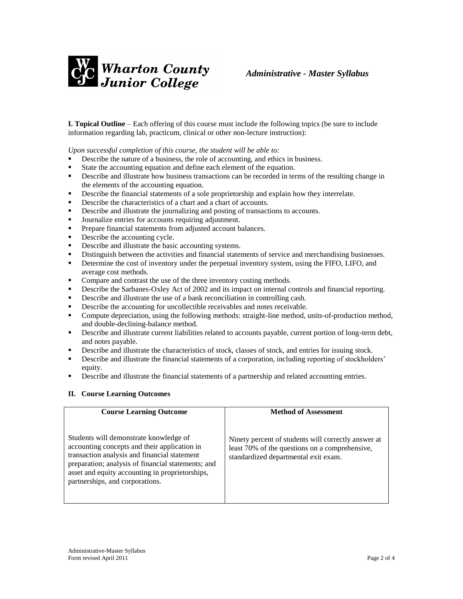

**I. Topical Outline** – Each offering of this course must include the following topics (be sure to include information regarding lab, practicum, clinical or other non-lecture instruction):

*Upon successful completion of this course, the student will be able to:*

- Describe the nature of a business, the role of accounting, and ethics in business.
- State the accounting equation and define each element of the equation.
- **•** Describe and illustrate how business transactions can be recorded in terms of the resulting change in the elements of the accounting equation.
- **Describe the financial statements of a sole proprietorship and explain how they interrelate.**
- Describe the characteristics of a chart and a chart of accounts.
- Describe and illustrate the journalizing and posting of transactions to accounts.
- Journalize entries for accounts requiring adjustment.
- **Prepare financial statements from adjusted account balances.**
- Describe the accounting cycle.
- Describe and illustrate the basic accounting systems.
- Distinguish between the activities and financial statements of service and merchandising businesses.
- **•** Determine the cost of inventory under the perpetual inventory system, using the FIFO, LIFO, and average cost methods.
- Compare and contrast the use of the three inventory costing methods.
- **EXECRED** Describe the Sarbanes-Oxley Act of 2002 and its impact on internal controls and financial reporting.
- Describe and illustrate the use of a bank reconciliation in controlling cash.
- **•** Describe the accounting for uncollectible receivables and notes receivable.
- Compute depreciation, using the following methods: straight-line method, units-of-production method, and double-declining-balance method.
- **•** Describe and illustrate current liabilities related to accounts payable, current portion of long-term debt, and notes payable.
- **Describe and illustrate the characteristics of stock, classes of stock, and entries for issuing stock.**
- **EXECRED** Describe and illustrate the financial statements of a corporation, including reporting of stockholders' equity.
- **•** Describe and illustrate the financial statements of a partnership and related accounting entries.

### **II. Course Learning Outcomes**

| <b>Course Learning Outcome</b>                                                                                                                                                                                                                                                     | <b>Method of Assessment</b>                                                                                                                   |
|------------------------------------------------------------------------------------------------------------------------------------------------------------------------------------------------------------------------------------------------------------------------------------|-----------------------------------------------------------------------------------------------------------------------------------------------|
| Students will demonstrate knowledge of<br>accounting concepts and their application in<br>transaction analysis and financial statement<br>preparation; analysis of financial statements; and<br>asset and equity accounting in proprietorships,<br>partnerships, and corporations. | Ninety percent of students will correctly answer at<br>least 70% of the questions on a comprehensive,<br>standardized departmental exit exam. |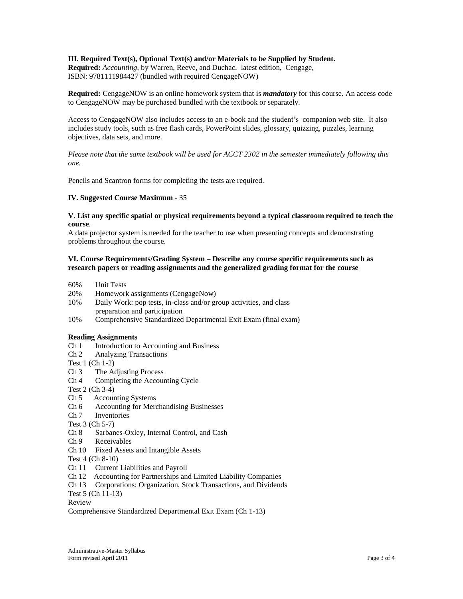## **III. Required Text(s), Optional Text(s) and/or Materials to be Supplied by Student.**

**Required:** *Accounting*, by Warren, Reeve, and Duchac, latest edition, Cengage, ISBN: 9781111984427 (bundled with required CengageNOW)

**Required:** CengageNOW is an online homework system that is *mandatory* for this course. An access code to CengageNOW may be purchased bundled with the textbook or separately.

Access to CengageNOW also includes access to an e-book and the student's companion web site. It also includes study tools, such as free flash cards, PowerPoint slides, glossary, quizzing, puzzles, learning objectives, data sets, and more.

*Please note that the same textbook will be used for ACCT 2302 in the semester immediately following this one.* 

Pencils and Scantron forms for completing the tests are required.

### **IV. Suggested Course Maximum** - 35

#### **V. List any specific spatial or physical requirements beyond a typical classroom required to teach the course**.

A data projector system is needed for the teacher to use when presenting concepts and demonstrating problems throughout the course.

### **VI. Course Requirements/Grading System – Describe any course specific requirements such as research papers or reading assignments and the generalized grading format for the course**

- 60% Unit Tests
- 20% Homework assignments (CengageNow)
- 10% Daily Work: pop tests, in-class and/or group activities, and class preparation and participation
- 10% Comprehensive Standardized Departmental Exit Exam (final exam)

### **Reading Assignments**

- Ch 1 Introduction to Accounting and Business
- Ch 2 Analyzing Transactions
- Test 1 (Ch 1-2)
- Ch 3 The Adjusting Process
- Ch 4 Completing the Accounting Cycle

Test 2 (Ch 3-4)

- Ch 5 Accounting Systems
- Ch 6 Accounting for Merchandising Businesses
- Ch 7 Inventories

Test 3 (Ch 5-7)

- Ch 8 Sarbanes-Oxley, Internal Control, and Cash
- Ch 9 Receivables
- Ch 10 Fixed Assets and Intangible Assets
- Test 4 (Ch 8-10)
- Ch 11 Current Liabilities and Payroll
- Ch 12 Accounting for Partnerships and Limited Liability Companies
- Ch 13 Corporations: Organization, Stock Transactions, and Dividends

Test 5 (Ch 11-13)

Review

Comprehensive Standardized Departmental Exit Exam (Ch 1-13)